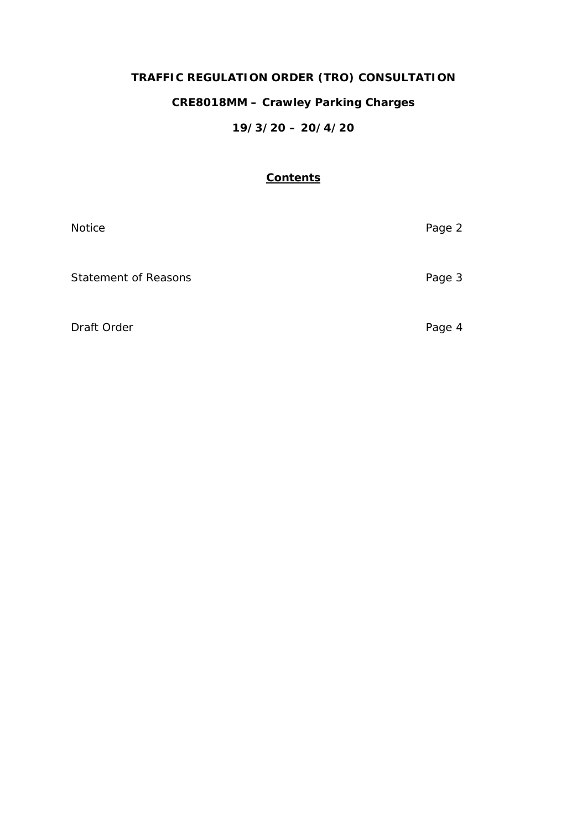# **TRAFFIC REGULATION ORDER (TRO) CONSULTATION**

## **CRE8018MM – Crawley Parking Charges**

# **19/3/20 – 20/4/20**

## **Contents**

| Notice                      | Page 2 |
|-----------------------------|--------|
| <b>Statement of Reasons</b> | Page 3 |
| Draft Order                 | Page 4 |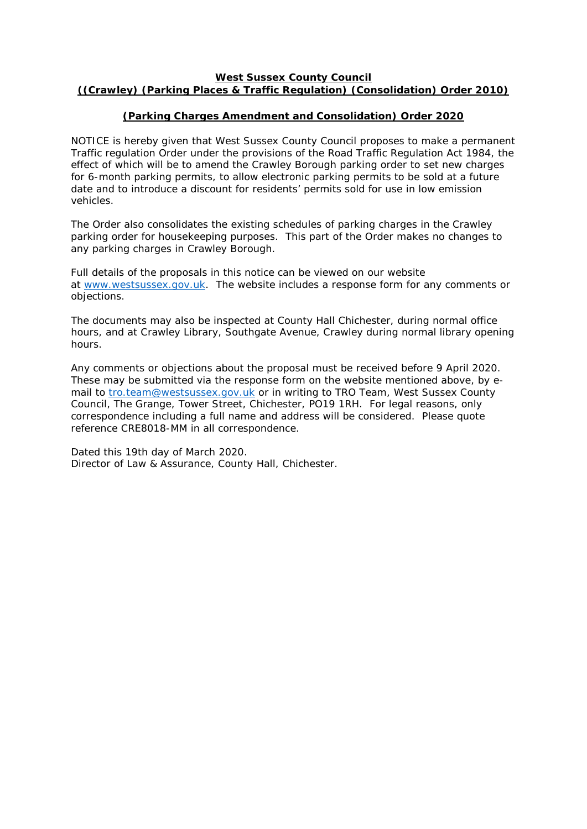## **West Sussex County Council ((Crawley) (Parking Places & Traffic Regulation) (Consolidation) Order 2010)**

## **(Parking Charges Amendment and Consolidation) Order 2020**

NOTICE is hereby given that West Sussex County Council proposes to make a permanent Traffic regulation Order under the provisions of the Road Traffic Regulation Act 1984, the effect of which will be to amend the Crawley Borough parking order to set new charges for 6-month parking permits, to allow electronic parking permits to be sold at a future date and to introduce a discount for residents' permits sold for use in low emission vehicles.

The Order also consolidates the existing schedules of parking charges in the Crawley parking order for housekeeping purposes. This part of the Order makes no changes to any parking charges in Crawley Borough.

Full details of the proposals in this notice can be viewed on our website at [www.westsussex.gov.uk.](http://www.westsussex.gov.uk/) The website includes a response form for any comments or objections.

The documents may also be inspected at County Hall Chichester, during normal office hours, and at Crawley Library, Southgate Avenue, Crawley during normal library opening hours.

Any comments or objections about the proposal must be received before 9 April 2020. These may be submitted via the response form on the website mentioned above, by email to [tro.team@westsussex.gov.uk](mailto:tro.team@westsussex.gov.uk) or in writing to TRO Team, West Sussex County Council, The Grange, Tower Street, Chichester, PO19 1RH. For legal reasons, only correspondence including a full name and address will be considered. Please quote reference CRE8018-MM in all correspondence.

Dated this 19th day of March 2020. Director of Law & Assurance, County Hall, Chichester.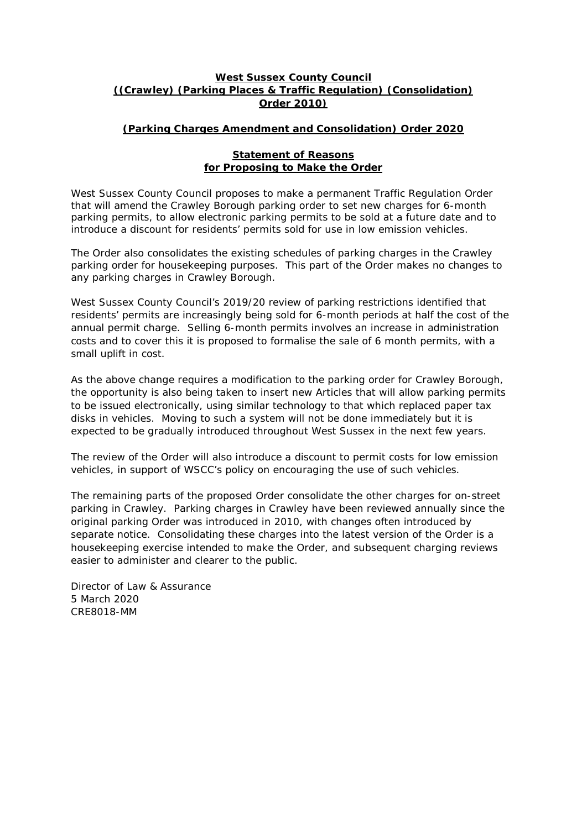## **West Sussex County Council ((Crawley) (Parking Places & Traffic Regulation) (Consolidation) Order 2010)**

## **(Parking Charges Amendment and Consolidation) Order 2020**

#### **Statement of Reasons for Proposing to Make the Order**

West Sussex County Council proposes to make a permanent Traffic Regulation Order that will amend the Crawley Borough parking order to set new charges for 6-month parking permits, to allow electronic parking permits to be sold at a future date and to introduce a discount for residents' permits sold for use in low emission vehicles.

The Order also consolidates the existing schedules of parking charges in the Crawley parking order for housekeeping purposes. This part of the Order makes no changes to any parking charges in Crawley Borough.

West Sussex County Council's 2019/20 review of parking restrictions identified that residents' permits are increasingly being sold for 6-month periods at half the cost of the annual permit charge. Selling 6-month permits involves an increase in administration costs and to cover this it is proposed to formalise the sale of 6 month permits, with a small uplift in cost.

As the above change requires a modification to the parking order for Crawley Borough, the opportunity is also being taken to insert new Articles that will allow parking permits to be issued electronically, using similar technology to that which replaced paper tax disks in vehicles. Moving to such a system will not be done immediately but it is expected to be gradually introduced throughout West Sussex in the next few years.

The review of the Order will also introduce a discount to permit costs for low emission vehicles, in support of WSCC's policy on encouraging the use of such vehicles.

The remaining parts of the proposed Order consolidate the other charges for on-street parking in Crawley. Parking charges in Crawley have been reviewed annually since the original parking Order was introduced in 2010, with changes often introduced by separate notice. Consolidating these charges into the latest version of the Order is a housekeeping exercise intended to make the Order, and subsequent charging reviews easier to administer and clearer to the public.

Director of Law & Assurance 5 March 2020 CRE8018-MM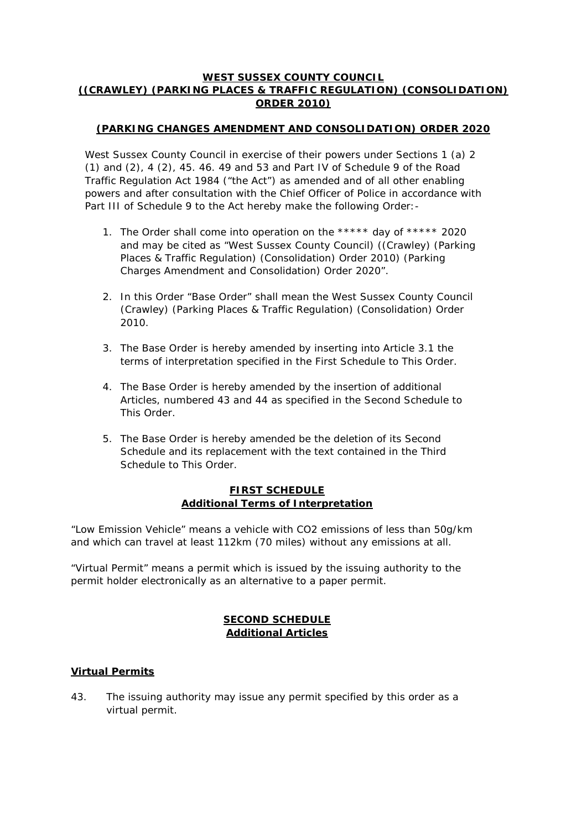## **WEST SUSSEX COUNTY COUNCIL ((CRAWLEY) (PARKING PLACES & TRAFFIC REGULATION) (CONSOLIDATION) ORDER 2010)**

## **(PARKING CHANGES AMENDMENT AND CONSOLIDATION) ORDER 2020**

West Sussex County Council in exercise of their powers under Sections 1 (a) 2 (1) and (2), 4 (2), 45. 46. 49 and 53 and Part IV of Schedule 9 of the Road Traffic Regulation Act 1984 ("the Act") as amended and of all other enabling powers and after consultation with the Chief Officer of Police in accordance with Part III of Schedule 9 to the Act hereby make the following Order: -

- 1. The Order shall come into operation on the \*\*\*\*\* day of \*\*\*\*\* 2020 and may be cited as "West Sussex County Council) ((Crawley) (Parking Places & Traffic Regulation) (Consolidation) Order 2010) (Parking Charges Amendment and Consolidation) Order 2020".
- 2. In this Order "Base Order" shall mean the West Sussex County Council (Crawley) (Parking Places & Traffic Regulation) (Consolidation) Order 2010.
- 3. The Base Order is hereby amended by inserting into Article 3.1 the terms of interpretation specified in the First Schedule to This Order.
- 4. The Base Order is hereby amended by the insertion of additional Articles, numbered 43 and 44 as specified in the Second Schedule to This Order.
- 5. The Base Order is hereby amended be the deletion of its Second Schedule and its replacement with the text contained in the Third Schedule to This Order.

## **FIRST SCHEDULE Additional Terms of Interpretation**

"Low Emission Vehicle" means a vehicle with CO2 emissions of less than 50g/km and which can travel at least 112km (70 miles) without any emissions at all.

"Virtual Permit" means a permit which is issued by the issuing authority to the permit holder electronically as an alternative to a paper permit.

## **SECOND SCHEDULE Additional Articles**

#### **Virtual Permits**

43. The issuing authority may issue any permit specified by this order as a virtual permit.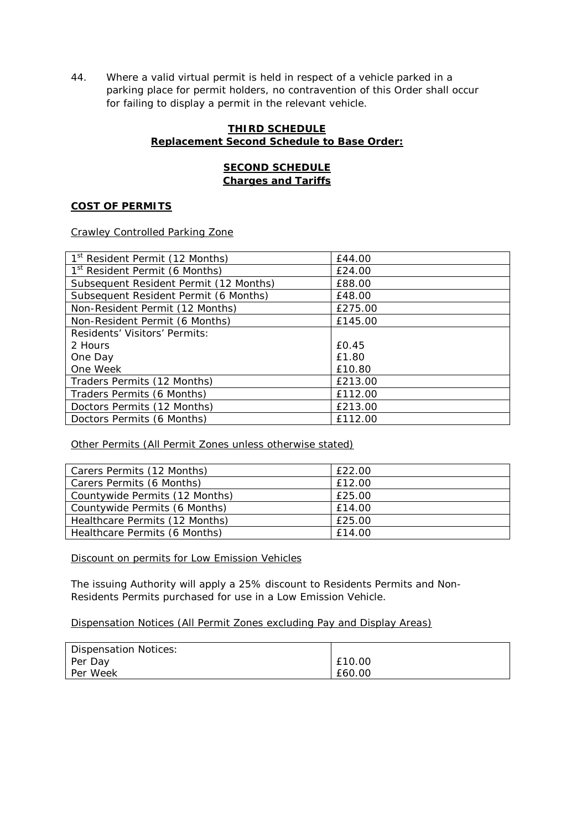44. Where a valid virtual permit is held in respect of a vehicle parked in a parking place for permit holders, no contravention of this Order shall occur for failing to display a permit in the relevant vehicle.

## **THIRD SCHEDULE Replacement Second Schedule to Base Order:**

## **SECOND SCHEDULE Charges and Tariffs**

## **COST OF PERMITS**

Crawley Controlled Parking Zone

| 1 <sup>st</sup> Resident Permit (12 Months) | £44.00  |
|---------------------------------------------|---------|
| 1 <sup>st</sup> Resident Permit (6 Months)  | £24.00  |
| Subsequent Resident Permit (12 Months)      | £88.00  |
| Subsequent Resident Permit (6 Months)       | £48.00  |
| Non-Resident Permit (12 Months)             | £275.00 |
| Non-Resident Permit (6 Months)              | £145.00 |
| Residents' Visitors' Permits:               |         |
| 2 Hours                                     | £0.45   |
| One Day                                     | £1.80   |
| One Week                                    | £10.80  |
| Traders Permits (12 Months)                 | £213.00 |
| Traders Permits (6 Months)                  | £112.00 |
| Doctors Permits (12 Months)                 | £213.00 |
| Doctors Permits (6 Months)                  | £112.00 |

Other Permits (All Permit Zones unless otherwise stated)

| Carers Permits (12 Months)     | £22.00 |
|--------------------------------|--------|
| Carers Permits (6 Months)      | £12.00 |
| Countywide Permits (12 Months) | £25.00 |
| Countywide Permits (6 Months)  | £14.00 |
| Healthcare Permits (12 Months) | £25.00 |
| Healthcare Permits (6 Months)  | £14.00 |

Discount on permits for Low Emission Vehicles

The issuing Authority will apply a 25% discount to Residents Permits and Non-Residents Permits purchased for use in a Low Emission Vehicle.

#### Dispensation Notices (All Permit Zones excluding Pay and Display Areas)

| Dispensation Notices: |        |
|-----------------------|--------|
| Per Day               | £10.00 |
| Per Week              | £60.00 |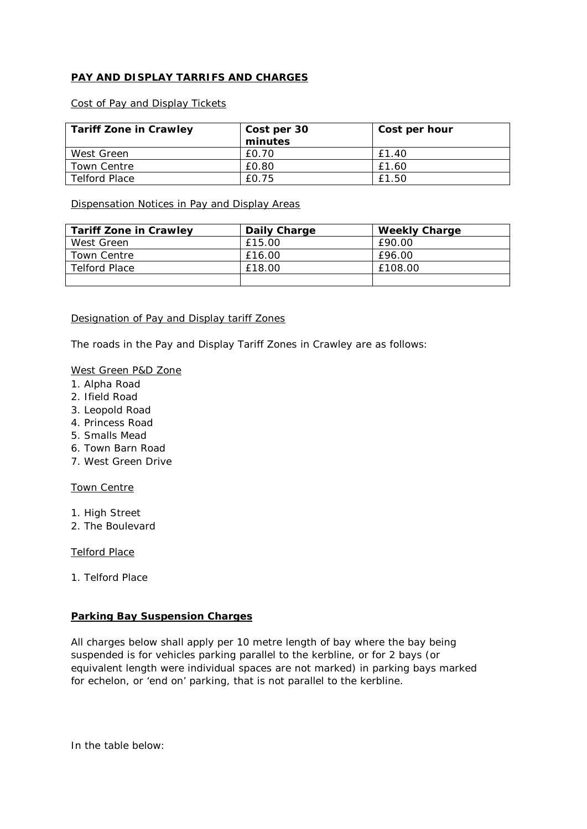## **PAY AND DISPLAY TARRIFS AND CHARGES**

#### Cost of Pay and Display Tickets

| <b>Tariff Zone in Crawley</b> | Cost per 30 | Cost per hour |
|-------------------------------|-------------|---------------|
|                               | minutes     |               |
| West Green                    | £0.70       | £1.40         |
| Town Centre                   | £0.80       | £1.60         |
| Telford Place                 | £0.75       | £1.50         |

Dispensation Notices in Pay and Display Areas

| <b>Tariff Zone in Crawley</b> | Daily Charge | <b>Weekly Charge</b> |
|-------------------------------|--------------|----------------------|
| West Green                    | £15.00       | £90.00               |
| Town Centre                   | £16.00       | £96.00               |
| Telford Place                 | £18.00       | £108.00              |
|                               |              |                      |

#### Designation of Pay and Display tariff Zones

The roads in the Pay and Display Tariff Zones in Crawley are as follows:

#### West Green P&D Zone

- 1. Alpha Road
- 2. Ifield Road
- 3. Leopold Road
- 4. Princess Road
- 5. Smalls Mead
- 6. Town Barn Road
- 7. West Green Drive

## Town Centre

- 1. High Street
- 2. The Boulevard

#### Telford Place

1. Telford Place

#### **Parking Bay Suspension Charges**

All charges below shall apply per 10 metre length of bay where the bay being suspended is for vehicles parking parallel to the kerbline, or for 2 bays (or equivalent length were individual spaces are not marked) in parking bays marked for echelon, or 'end on' parking, that is not parallel to the kerbline.

In the table below: